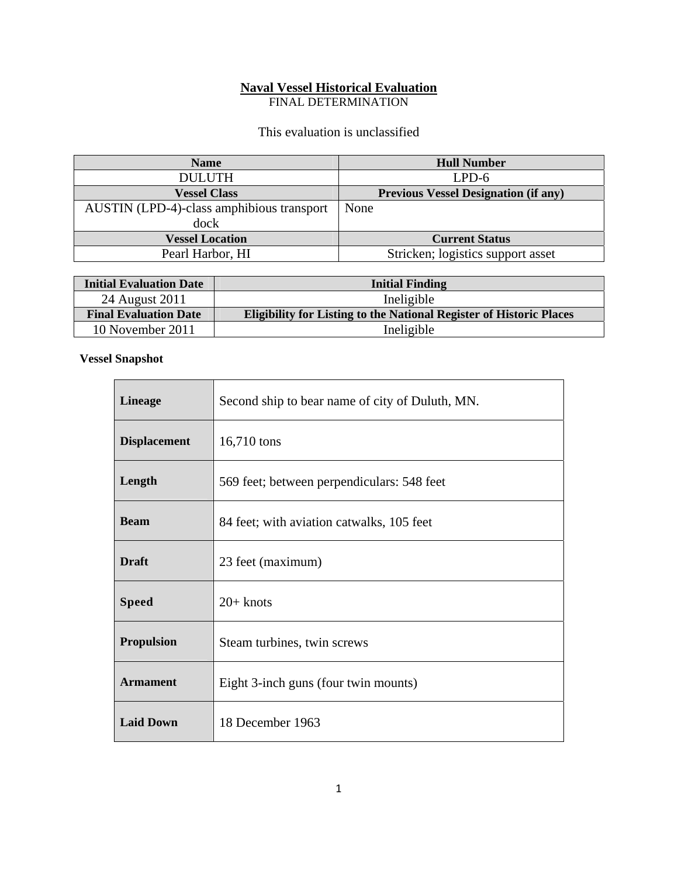# **Naval Vessel Historical Evaluation**

FINAL DETERMINATION

This evaluation is unclassified

| <b>Name</b>                               | <b>Hull Number</b>                          |
|-------------------------------------------|---------------------------------------------|
| <b>DULUTH</b>                             | $LPD-6$                                     |
| <b>Vessel Class</b>                       | <b>Previous Vessel Designation (if any)</b> |
| AUSTIN (LPD-4)-class amphibious transport | None                                        |
| dock                                      |                                             |
| <b>Vessel Location</b>                    | <b>Current Status</b>                       |
| Pearl Harbor, HI                          | Stricken; logistics support asset           |

| <b>Initial Evaluation Date</b> | <b>Initial Finding</b>                                                     |
|--------------------------------|----------------------------------------------------------------------------|
| 24 August 2011                 | Ineligible                                                                 |
| <b>Final Evaluation Date</b>   | <b>Eligibility for Listing to the National Register of Historic Places</b> |
| 10 November 2011               | Ineligible                                                                 |

 $\overline{\phantom{0}}$ 

#### **Vessel Snapshot**

| <b>Lineage</b>      | Second ship to bear name of city of Duluth, MN. |
|---------------------|-------------------------------------------------|
| <b>Displacement</b> | 16,710 tons                                     |
| Length              | 569 feet; between perpendiculars: 548 feet      |
| <b>Beam</b>         | 84 feet; with aviation catwalks, 105 feet       |
| <b>Draft</b>        | 23 feet (maximum)                               |
| <b>Speed</b>        | $20+$ knots                                     |
| <b>Propulsion</b>   | Steam turbines, twin screws                     |
| <b>Armament</b>     | Eight 3-inch guns (four twin mounts)            |
| <b>Laid Down</b>    | 18 December 1963                                |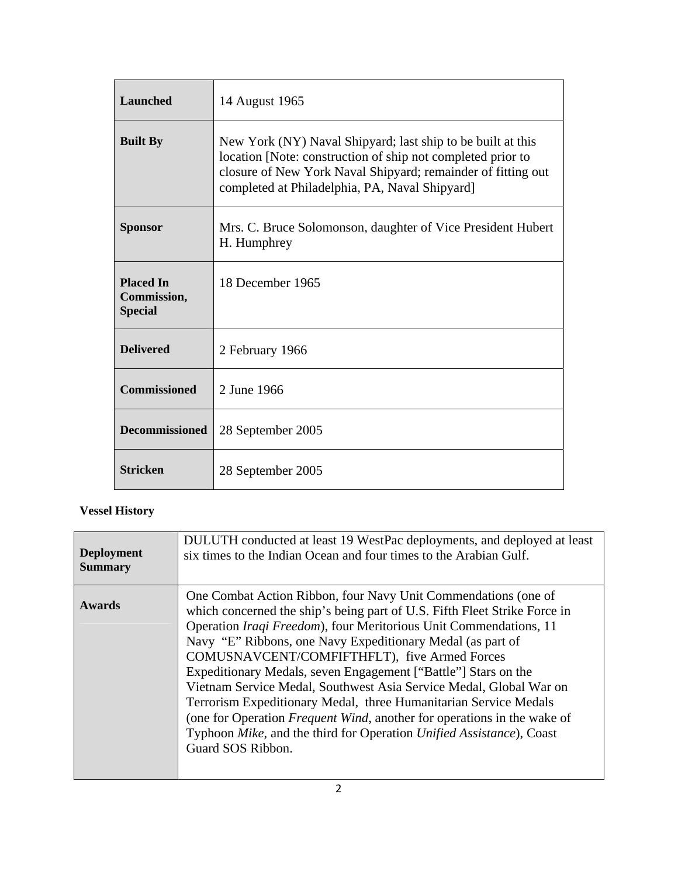| Launched                                          | 14 August 1965                                                                                                                                                                                                                               |
|---------------------------------------------------|----------------------------------------------------------------------------------------------------------------------------------------------------------------------------------------------------------------------------------------------|
| <b>Built By</b>                                   | New York (NY) Naval Shipyard; last ship to be built at this<br>location [Note: construction of ship not completed prior to<br>closure of New York Naval Shipyard; remainder of fitting out<br>completed at Philadelphia, PA, Naval Shipyard] |
| <b>Sponsor</b>                                    | Mrs. C. Bruce Solomonson, daughter of Vice President Hubert<br>H. Humphrey                                                                                                                                                                   |
| <b>Placed In</b><br>Commission,<br><b>Special</b> | 18 December 1965                                                                                                                                                                                                                             |
| <b>Delivered</b>                                  | 2 February 1966                                                                                                                                                                                                                              |
| <b>Commissioned</b>                               | 2 June 1966                                                                                                                                                                                                                                  |
| <b>Decommissioned</b>                             | 28 September 2005                                                                                                                                                                                                                            |
| <b>Stricken</b>                                   | 28 September 2005                                                                                                                                                                                                                            |

### **Vessel History**

| <b>Deployment</b> | DULUTH conducted at least 19 WestPac deployments, and deployed at least                                                                                                                                                                                                                                                                                                                                                                                                                                                                                                                                                                                                                                            |
|-------------------|--------------------------------------------------------------------------------------------------------------------------------------------------------------------------------------------------------------------------------------------------------------------------------------------------------------------------------------------------------------------------------------------------------------------------------------------------------------------------------------------------------------------------------------------------------------------------------------------------------------------------------------------------------------------------------------------------------------------|
| <b>Summary</b>    | six times to the Indian Ocean and four times to the Arabian Gulf.                                                                                                                                                                                                                                                                                                                                                                                                                                                                                                                                                                                                                                                  |
| <b>Awards</b>     | One Combat Action Ribbon, four Navy Unit Commendations (one of<br>which concerned the ship's being part of U.S. Fifth Fleet Strike Force in<br>Operation Iraqi Freedom), four Meritorious Unit Commendations, 11<br>Navy "E" Ribbons, one Navy Expeditionary Medal (as part of<br>COMUSNAVCENT/COMFIFTHFLT), five Armed Forces<br>Expeditionary Medals, seven Engagement ["Battle"] Stars on the<br>Vietnam Service Medal, Southwest Asia Service Medal, Global War on<br>Terrorism Expeditionary Medal, three Humanitarian Service Medals<br>(one for Operation Frequent Wind, another for operations in the wake of<br>Typhoon Mike, and the third for Operation Unified Assistance), Coast<br>Guard SOS Ribbon. |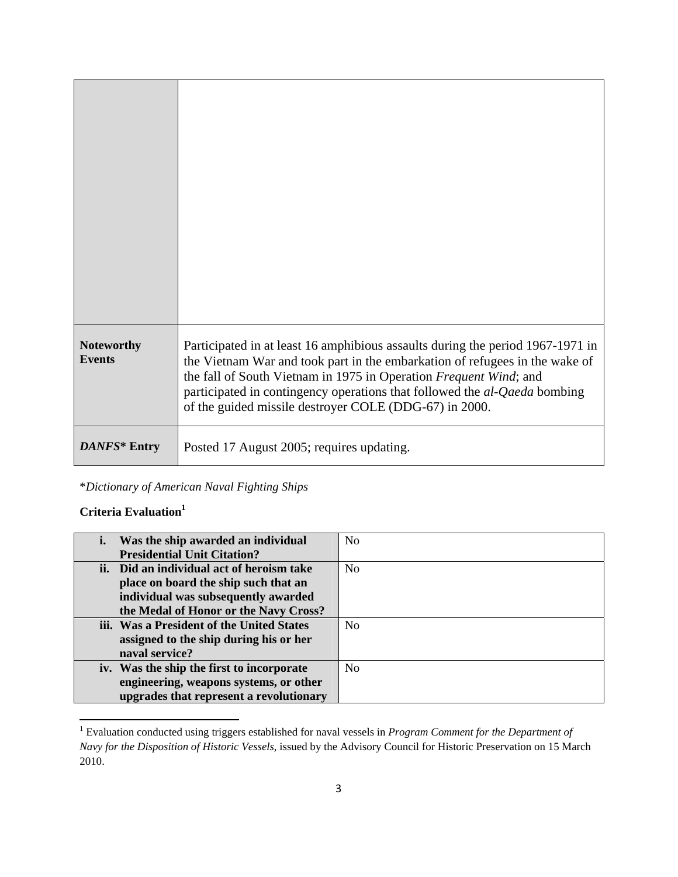| <b>Noteworthy</b><br><b>Events</b> | Participated in at least 16 amphibious assaults during the period 1967-1971 in<br>the Vietnam War and took part in the embarkation of refugees in the wake of<br>the fall of South Vietnam in 1975 in Operation Frequent Wind; and<br>participated in contingency operations that followed the al-Qaeda bombing<br>of the guided missile destroyer COLE (DDG-67) in 2000. |
|------------------------------------|---------------------------------------------------------------------------------------------------------------------------------------------------------------------------------------------------------------------------------------------------------------------------------------------------------------------------------------------------------------------------|
| DANFS* Entry                       | Posted 17 August 2005; requires updating.                                                                                                                                                                                                                                                                                                                                 |

### \**Dictionary of American Naval Fighting Ships*

## **Criteria Evaluation**<sup>1</sup>

| Was the ship awarded an individual        | N <sub>0</sub> |
|-------------------------------------------|----------------|
| <b>Presidential Unit Citation?</b>        |                |
| ii. Did an individual act of heroism take | No             |
| place on board the ship such that an      |                |
| individual was subsequently awarded       |                |
| the Medal of Honor or the Navy Cross?     |                |
| iii. Was a President of the United States | N <sub>o</sub> |
| assigned to the ship during his or her    |                |
| naval service?                            |                |
| iv. Was the ship the first to incorporate | No             |
| engineering, weapons systems, or other    |                |
| upgrades that represent a revolutionary   |                |

 1 Evaluation conducted using triggers established for naval vessels in *Program Comment for the Department of Navy for the Disposition of Historic Vessels*, issued by the Advisory Council for Historic Preservation on 15 March 2010.